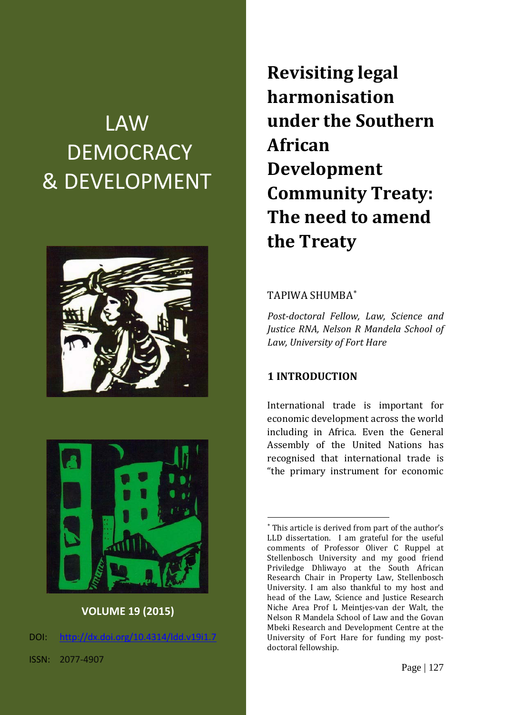# **LAW DEMOCRACY** & DEVELOPMENT



<span id="page-0-0"></span>

**VOLUME 19 (2015)**

DOI: [http://dx.doi.org/10.4314/ldd.v19i1.7](http://dx.doi.org/10.4314/ldd.v19i1.)

ISSN: 2077-4907

**Revisiting legal harmonisation under the Southern African Development Community Treaty: The need to amend the Treaty**

#### TAPIWA SHUMBA[∗](#page-0-0)

*Post-doctoral Fellow, Law, Science and Justice RNA, Nelson R Mandela School of Law, University of Fort Hare*

#### **1 INTRODUCTION**

<u>.</u>

International trade is important for economic development across the world including in Africa. Even the General Assembly of the United Nations has recognised that international trade is "the primary instrument for economic

<sup>∗</sup> This article is derived from part of the author's LLD dissertation. I am grateful for the useful comments of Professor Oliver C Ruppel at Stellenbosch University and my good friend Priviledge Dhliwayo at the South African Research Chair in Property Law, Stellenbosch University. I am also thankful to my host and head of the Law, Science and Justice Research Niche Area Prof L Meintjes-van der Walt, the Nelson R Mandela School of Law and the Govan Mbeki Research and Development Centre at the University of Fort Hare for funding my postdoctoral fellowship.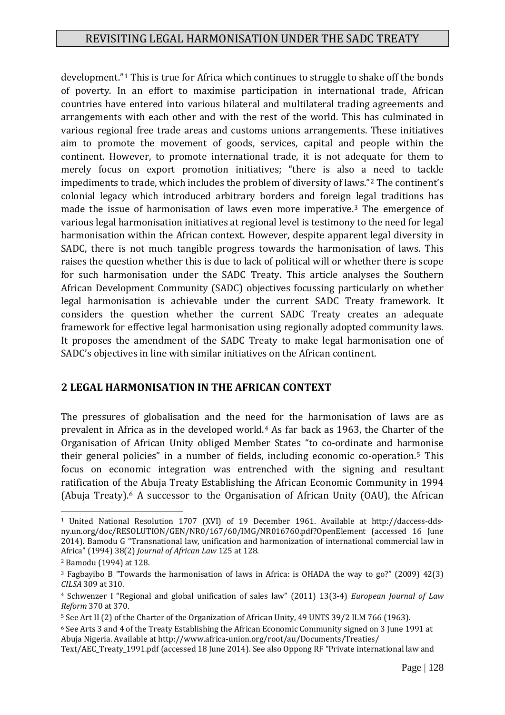development."[1](#page-1-0) This is true for Africa which continues to struggle to shake off the bonds of poverty. In an effort to maximise participation in international trade, African countries have entered into various bilateral and multilateral trading agreements and arrangements with each other and with the rest of the world. This has culminated in various regional free trade areas and customs unions arrangements. These initiatives aim to promote the movement of goods, services, capital and people within the continent. However, to promote international trade, it is not adequate for them to merely focus on export promotion initiatives; "there is also a need to tackle impediments to trade, which includes the problem of diversity of laws."[2](#page-1-1) The continent's colonial legacy which introduced arbitrary borders and foreign legal traditions has made the issue of harmonisation of laws even more imperative.[3](#page-1-2) The emergence of various legal harmonisation initiatives at regional level is testimony to the need for legal harmonisation within the African context. However, despite apparent legal diversity in SADC, there is not much tangible progress towards the harmonisation of laws. This raises the question whether this is due to lack of political will or whether there is scope for such harmonisation under the SADC Treaty. This article analyses the Southern African Development Community (SADC) objectives focussing particularly on whether legal harmonisation is achievable under the current SADC Treaty framework. It considers the question whether the current SADC Treaty creates an adequate framework for effective legal harmonisation using regionally adopted community laws. It proposes the amendment of the SADC Treaty to make legal harmonisation one of SADC's objectives in line with similar initiatives on the African continent.

## **2 LEGAL HARMONISATION IN THE AFRICAN CONTEXT**

The pressures of globalisation and the nee[d](#page-1-3) for the harmonisation of laws are as prevalent in Africa as in the developed world.4 As far back as 1963, the Charter of the Organisation of African Unity obliged Member States "to co-ordinate and harmonise their general policies" in a number of fields, including economic co-operation.[5](#page-1-4) This focus on economic integration was entrenched with the signing and resultant ratification of the Abuja Treaty Establishing the African Economic Community in 1994 (Abuja Treaty). $6$  A successor to the Organisation of African Unity (OAU), the African

<span id="page-1-0"></span><sup>1</sup> United National Resolution 1707 (XVI) of 19 December 1961. Available at http://daccess-ddsny.un.org/doc/RESOLUTION/GEN/NR0/167/60/IMG/NR016760.pdf?OpenElement (accessed 16 June 2014). Bamodu G "Transnational law, unification and harmonization of international commercial law in Africa" (1994) 38(2) *Journal of African Law* 125 at 128. <u>.</u>

<span id="page-1-1"></span><sup>2</sup> Bamodu (1994) at 128.

<span id="page-1-2"></span><sup>3</sup> Fagbayibo B "Towards the harmonisation of laws in Africa: is OHADA the way to go?" (2009) 42(3) *CILSA* 309 at 310.

<span id="page-1-3"></span><sup>4</sup> Schwenzer I "Regional and global unification of sales law" (2011) 13(3-4) *European Journal of Law Reform* 370 at 370.

<span id="page-1-4"></span><sup>5</sup> See Art II (2) of the Charter of the Organization of African Unity, 49 UNTS 39/2 ILM 766 (1963).

<span id="page-1-5"></span><sup>6</sup> See Arts 3 and 4 of the Treaty Establishing the African Economic Community signed on 3 June 1991 at Abuja Nigeria. Available at http://www.africa-union.org/root/au/Documents/Treaties/

Text/AEC\_Treaty\_1991.pdf (accessed 18 June 2014). See also Oppong RF "Private international law and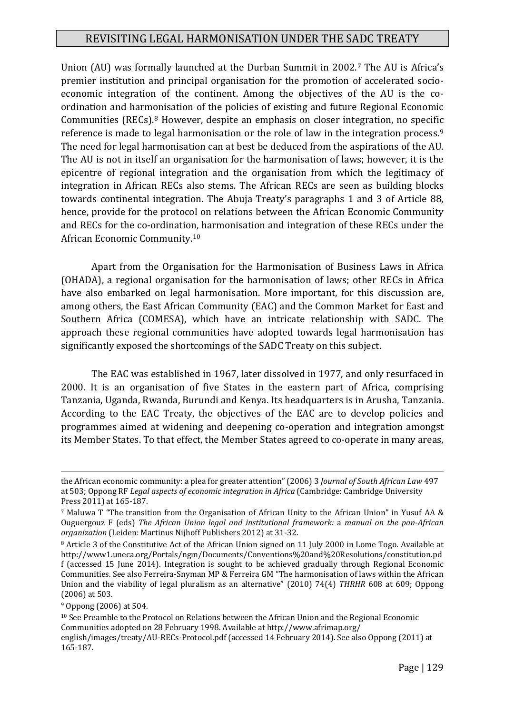Union (AU) was formally launched at the Durban Summit in 2002.[7](#page-2-0) The AU is Africa's premier institution and principal organisation for the promotion of accelerated socioeconomic integration of the continent. Among the objectives of the AU is the coordination and harm[on](#page-2-1)isation of the policies of existing and future Regional Economic Communities (RECs).8 However, despite an emphasis on closer integration, no specific reference is made to legal harmonisation or the role of law in the integration process.[9](#page-2-2) The need for legal harmonisation can at best be deduced from the aspirations of the AU. The AU is not in itself an organisation for the harmonisation of laws; however, it is the epicentre of regional integration and the organisation from which the legitimacy of integration in African RECs also stems. The African RECs are seen as building blocks towards continental integration. The Abuja Treaty's paragraphs 1 and 3 of Article 88, hence, provide for the protocol on relations between the African Economic Community and RECs for the co-ordination, harmonisation and integration of these RECs under the African Economic Community.[10](#page-2-3)

Apart from the Organisation for the Harmonisation of Business Laws in Africa (OHADA), a regional organisation for the harmonisation of laws; other RECs in Africa have also embarked on legal harmonisation. More important, for this discussion are, among others, the East African Community (EAC) and the Common Market for East and Southern Africa (COMESA), which have an intricate relationship with SADC. The approach these regional communities have adopted towards legal harmonisation has significantly exposed the shortcomings of the SADC Treaty on this subject.

The EAC was established in 1967, later dissolved in 1977, and only resurfaced in 2000. It is an organisation of five States in the eastern part of Africa, comprising Tanzania, Uganda, Rwanda, Burundi and Kenya. Its headquarters is in Arusha, Tanzania. According to the EAC Treaty, the objectives of the EAC are to develop policies and programmes aimed at widening and deepening co-operation and integration amongst its Member States. To that effect, the Member States agreed to co-operate in many areas,

<span id="page-2-2"></span><sup>9</sup> Oppong (2006) at 504.

<u>.</u>

<span id="page-2-3"></span><sup>10</sup> See Preamble to the Protocol on Relations between the African Union and the Regional Economic Communities adopted on 28 February 1998. Available at http://www.afrimap.org/

the African economic community: a plea for greater attention" (2006) 3 *Journal of South African Law* 497 at 503; Oppong RF *Legal aspects of economic integration in Africa* (Cambridge: Cambridge University Press 2011) at 165-187.

<span id="page-2-0"></span><sup>7</sup> Maluwa T "The transition from the Organisation of African Unity to the African Union" in Yusuf AA & Ouguergouz F (eds) *The African Union legal and institutional framework:* a *manual on the pan-African organization* (Leiden: Martinus Nijhoff Publishers 2012) at 31-32.

<span id="page-2-1"></span><sup>8</sup> Article 3 of the Constitutive Act of the African Union signed on 11 July 2000 in Lome Togo. Available at http://www1.uneca.org/Portals/ngm/Documents/Conventions%20and%20Resolutions/constitution.pd f (accessed 15 June 2014). Integration is sought to be achieved gradually through Regional Economic Communities. See also Ferreira-Snyman MP & Ferreira GM "The harmonisation of laws within the African Union and the viability of legal pluralism as an alternative" (2010) 74(4) *THRHR* 608 at 609; Oppong (2006) at 503.

english/images/treaty/AU-RECs-Protocol.pdf (accessed 14 February 2014). See also Oppong (2011) at 165-187.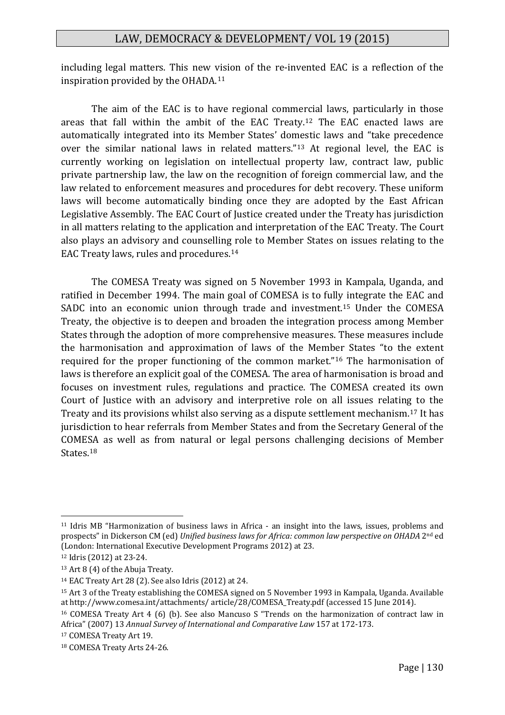including legal matters. This new vision of the re-invented EAC is a reflection of the inspiration provided by the OHADA.[11](#page-3-0)

The aim of the EAC is to have regional commercial laws, particularly in those areas that fall within the ambit of the EAC Treaty.[12](#page-3-1) The EAC enacted laws are automatically integrated into its Member States' domestic laws and "take precedence over the similar national laws in related matters."[13](#page-3-2) At regional level, the EAC is currently working on legislation on intellectual property law, contract law, public private partnership law, the law on the recognition of foreign commercial law, and the law related to enforcement measures and procedures for debt recovery. These uniform laws will become automatically binding once they are adopted by the East African Legislative Assembly. The EAC Court of Justice created under the Treaty has jurisdiction in all matters relating to the application and interpretation of the EAC Treaty. The Court also plays an advisory and counselling role to Member States on issues relating to the EAC Treaty laws, rules and procedures.[14](#page-3-3)

The COMESA Treaty was signed on 5 November 1993 in Kampala, Uganda, and ratified in December 1994. The main goal of COMESA is to fully integrate the EAC and SADC into an economic union through trade and investment.[15](#page-3-4) Under the COMESA Treaty, the objective is to deepen and broaden the integration process among Member States through the adoption of more comprehensive measures. These measures include the harmonisation and approximation of laws of the Member States "to the extent required for the proper functioning of the common market."[16](#page-3-5) The harmonisation of laws is therefore an explicit goal of the COMESA. The area of harmonisation is broad and focuses on investment rules, regulations and practice. The COMESA created its own Court of Justice with an advisory and interpretive role on all issues relating to the Treaty and its provisions whilst also serving as a dispute settlement mechanism.[17](#page-3-6) It has jurisdiction to hear referrals from Member States and from the Secretary General of the COMESA as well as from natural or legal persons challenging decisions of Member States.[18](#page-3-7)

<span id="page-3-0"></span><sup>11</sup> Idris MB "Harmonization of business laws in Africa - an insight into the laws, issues, problems and prospects" in Dickerson CM (ed) *Unified business laws for Africa: common law perspective on OHADA* 2nd ed (London: International Executive Development Programs 2012) at 23.

<span id="page-3-1"></span><sup>12</sup> Idris (2012) at 23-24.

<span id="page-3-2"></span><sup>13</sup> Art 8 (4) of the Abuja Treaty.

<span id="page-3-3"></span><sup>14</sup> EAC Treaty Art 28 (2). See also Idris (2012) at 24.

<span id="page-3-4"></span><sup>15</sup> Art 3 of the Treaty establishing the COMESA signed on 5 November 1993 in Kampala, Uganda. Available at http://www.comesa.int/attachments/ article/28/COMESA\_Treaty.pdf (accessed 15 June 2014).

<span id="page-3-5"></span><sup>16</sup> COMESA Treaty Art 4 (6) (b). See also Mancuso S "Trends on the harmonization of contract law in Africa" (2007) 13 *Annual Survey of International and Comparative Law* 157 at 172-173.

<span id="page-3-6"></span><sup>17</sup> COMESA Treaty Art 19.

<span id="page-3-7"></span><sup>18</sup> COMESA Treaty Arts 24-26.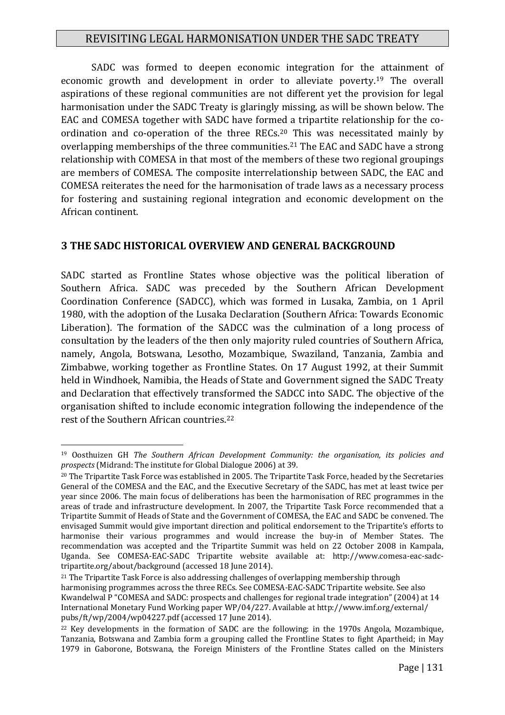SADC was formed to deepen economic integration for the attainment of economic growth and development in order to alleviate poverty.[19](#page-4-0) The overall aspirations of these regional communities are not different yet the provision for legal harmonisation under the SADC Treaty is glaringly missing, as will be shown below. The EAC and COMESA together with SADC have formed a tripartite relationship for the coordination and co-operation of the three RECs.[20](#page-4-1) This was necessitated mainly by overlapping memberships of the three communities.<sup>[21](#page-4-2)</sup> The EAC and SADC have a strong relationship with COMESA in that most of the members of these two regional groupings are members of COMESA. The composite interrelationship between SADC, the EAC and COMESA reiterates the need for the harmonisation of trade laws as a necessary process for fostering and sustaining regional integration and economic development on the African continent.

#### **3 THE SADC HISTORICAL OVERVIEW AND GENERAL BACKGROUND**

SADC started as Frontline States whose objective was the political liberation of Southern Africa. SADC was preceded by the Southern African Development Coordination Conference (SADCC), which was formed in Lusaka, Zambia, on 1 April 1980, with the adoption of the Lusaka Declaration (Southern Africa: Towards Economic Liberation). The formation of the SADCC was the culmination of a long process of consultation by the leaders of the then only majority ruled countries of Southern Africa, namely, Angola, Botswana, Lesotho, Mozambique, Swaziland, Tanzania, Zambia and Zimbabwe, working together as Frontline States. On 17 August 1992, at their Summit held in Windhoek, Namibia, the Heads of State and Government signed the SADC Treaty and Declaration that effectively transformed the SADCC into SADC. The objective of the organisation shifted to include economic integration following the independence of the rest of the Southern African countries.[22](#page-4-3)

<span id="page-4-0"></span><sup>19</sup> Oosthuizen GH *The Southern African Development Community: the organisation, its policies and prospects* (Midrand: The institute for Global Dialogue 2006) at 39. <u>.</u>

<span id="page-4-1"></span><sup>&</sup>lt;sup>20</sup> The Tripartite Task Force was established in 2005. The Tripartite Task Force, headed by the Secretaries General of the COMESA and the EAC, and the Executive Secretary of the SADC, has met at least twice per year since 2006. The main focus of deliberations has been the harmonisation of REC programmes in the areas of trade and infrastructure development. In 2007, the Tripartite Task Force recommended that a Tripartite Summit of Heads of State and the Government of COMESA, the EAC and SADC be convened. The envisaged Summit would give important direction and political endorsement to the Tripartite's efforts to harmonise their various programmes and would increase the buy-in of Member States. The recommendation was accepted and the Tripartite Summit was held on 22 October 2008 in Kampala, Uganda. See COMESA-EAC-SADC Tripartite website available at: http://www.comesa-eac-sadctripartite.org/about/background (accessed 18 June 2014).

<span id="page-4-2"></span><sup>&</sup>lt;sup>21</sup> The Tripartite Task Force is also addressing challenges of overlapping membership through harmonising programmes across the three RECs. See COMESA-EAC-SADC Tripartite website. See also Kwandelwal P "COMESA and SADC: prospects and challenges for regional trade integration" (2004) at 14 International Monetary Fund Working paper WP/04/227. Available at http://www.imf.org/external/ pubs/ft/wp/2004/wp04227.pdf (accessed 17 June 2014).

<span id="page-4-3"></span><sup>22</sup> Key developments in the formation of SADC are the following: in the 1970s Angola, Mozambique, Tanzania, Botswana and Zambia form a grouping called the Frontline States to fight Apartheid; in May 1979 in Gaborone, Botswana, the Foreign Ministers of the Frontline States called on the Ministers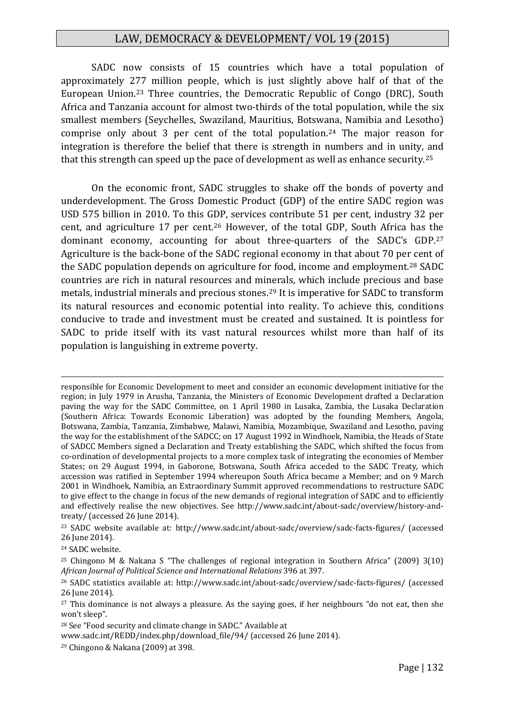SADC now consists of 15 countries which have a total population of approximately 277 million people, which is just slightly above half of that of the European Union.[23](#page-5-0) Three countries, the Democratic Republic of Congo (DRC), South Africa and Tanzania account for almost two-thirds of the total population, while the six smallest members (Seychelles, Swaziland, Mauritius, Botsw[ana](#page-5-1), Namibia and Lesotho) comprise only about 3 per cent of the total population. <sup>24</sup> The major reason for integration is therefore the belief that there is strength in numbers and in unity, and that this strength can speed up the pace of development as well as enhance security.[25](#page-5-2)

On the economic front, SADC struggles to shake off the bonds of poverty and underdevelopment. The Gross Domestic Product (GDP) of the entire SADC region was USD 575 billion in 2010. To this GDP, services contribute 51 per cent, industry 32 per cent, and agriculture 17 per cent.[26](#page-5-3) However, of the total GDP, South Africa has the dominant economy, accounting for about three-quarters of the SADC's GDP.[27](#page-5-4) Agriculture is the back-bone of the SADC regional economy in that about 70 per cent of the SADC population depends on agriculture for food, income and employment.[28](#page-5-5) SADC countries are rich in natural resources and minerals, which include precious and base metals, industrial minerals and precious stones.[29](#page-5-6) It is imperative for SADC to transform its natural resources and economic potential into reality. To achieve this, conditions conducive to trade and investment must be created and sustained. It is pointless for SADC to pride itself with its vast natural resources whilst more than half of its population is languishing in extreme poverty.

responsible for Economic Development to meet and consider an economic development initiative for the region; in July 1979 in Arusha, Tanzania, the Ministers of Economic Development drafted a Declaration paving the way for the SADC Committee, on 1 April 1980 in Lusaka, Zambia, the Lusaka Declaration (Southern Africa: Towards Economic Liberation) was adopted by the founding Members, Angola, Botswana, Zambia, Tanzania, Zimbabwe, Malawi, Namibia, Mozambique, Swaziland and Lesotho, paving the way for the establishment of the SADCC; on 17 August 1992 in Windhoek, Namibia, the Heads of State of SADCC Members signed a Declaration and Treaty establishing the SADC, which shifted the focus from co-ordination of developmental projects to a more complex task of integrating the economies of Member States; on 29 August 1994, in Gaborone, Botswana, South Africa acceded to the SADC Treaty, which accession was ratified in September 1994 whereupon South Africa became a Member; and on 9 March 2001 in Windhoek, Namibia, an Extraordinary Summit approved recommendations to restructure SADC to give effect to the change in focus of the new demands of regional integration of SADC and to efficiently and effectively realise the new objectives. See http://www.sadc.int/about-sadc/overview/history-andtreaty/ (accessed 26 June 2014).

<span id="page-5-0"></span><sup>23</sup> SADC website available at: http://www.sadc.int/about-sadc/overview/sadc-facts-figures/ (accessed 26 June 2014).

<span id="page-5-1"></span><sup>24</sup> SADC website.

<span id="page-5-2"></span><sup>25</sup> Chingono M & Nakana S "The challenges of regional integration in Southern Africa" (2009) 3(10) *African Journal of Political Science and International Relations* 396 at 397.

<span id="page-5-3"></span><sup>26</sup> SADC statistics available at: http://www.sadc.int/about-sadc/overview/sadc-facts-figures/ (accessed 26 June 2014).

<span id="page-5-4"></span><sup>&</sup>lt;sup>27</sup> This dominance is not always a pleasure. As the saying goes, if her neighbours "do not eat, then she won't sleep".

<span id="page-5-5"></span><sup>28</sup> See "Food security and climate change in SADC." Available at

www.sadc.int/REDD/index.php/download\_file/94/ (accessed 26 June 2014).

<span id="page-5-6"></span><sup>29</sup> Chingono & Nakana (2009) at 398.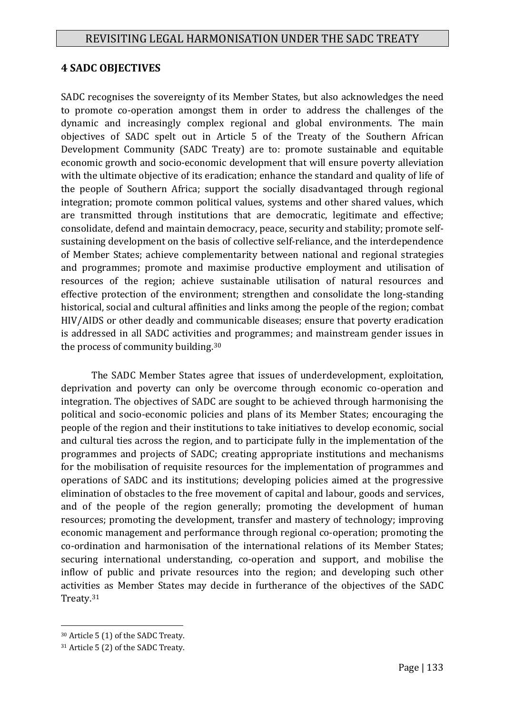#### **4 SADC OBJECTIVES**

SADC recognises the sovereignty of its Member States, but also acknowledges the need to promote co-operation amongst them in order to address the challenges of the dynamic and increasingly complex regional and global environments. The main objectives of SADC spelt out in Article 5 of the Treaty of the Southern African Development Community (SADC Treaty) are to: promote sustainable and equitable economic growth and socio-economic development that will ensure poverty alleviation with the ultimate objective of its eradication; enhance the standard and quality of life of the people of Southern Africa; support the socially disadvantaged through regional integration; promote common political values, systems and other shared values, which are transmitted through institutions that are democratic, legitimate and effective; consolidate, defend and maintain democracy, peace, security and stability; promote selfsustaining development on the basis of collective self-reliance, and the interdependence of Member States; achieve complementarity between national and regional strategies and programmes; promote and maximise productive employment and utilisation of resources of the region; achieve sustainable utilisation of natural resources and effective protection of the environment; strengthen and consolidate the long-standing historical, social and cultural affinities and links among the people of the region; combat HIV/AIDS or other deadly and communicable diseases; ensure that poverty eradication is addressed in all SADC activities and programmes; and mainstream gender issues in the process of community building.[30](#page-6-0)

The SADC Member States agree that issues of underdevelopment, exploitation, deprivation and poverty can only be overcome through economic co-operation and integration. The objectives of SADC are sought to be achieved through harmonising the political and socio-economic policies and plans of its Member States; encouraging the people of the region and their institutions to take initiatives to develop economic, social and cultural ties across the region, and to participate fully in the implementation of the programmes and projects of SADC; creating appropriate institutions and mechanisms for the mobilisation of requisite resources for the implementation of programmes and operations of SADC and its institutions; developing policies aimed at the progressive elimination of obstacles to the free movement of capital and labour, goods and services, and of the people of the region generally; promoting the development of human resources; promoting the development, transfer and mastery of technology; improving economic management and performance through regional co-operation; promoting the co-ordination and harmonisation of the international relations of its Member States; securing international understanding, co-operation and support, and mobilise the inflow of public and private resources into the region; and developing such other activities as Member States may decide in furtherance of the objectives of the SADC Treaty.[31](#page-6-1)

<u>.</u>

<span id="page-6-0"></span><sup>30</sup> Article 5 (1) of the SADC Treaty.

<span id="page-6-1"></span><sup>31</sup> Article 5 (2) of the SADC Treaty.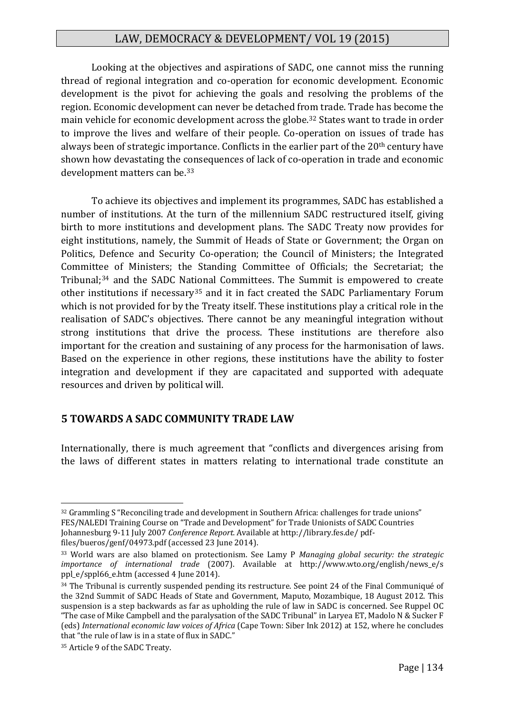Looking at the objectives and aspirations of SADC, one cannot miss the running thread of regional integration and co-operation for economic development. Economic development is the pivot for achieving the goals and resolving the problems of the region. Economic development can never be detached from trade. Trade has become the main vehicle for economic development across the globe.[32](#page-7-0) States want to trade in order to improve the lives and welfare of their people. Co-operation on issues of trade has always been of strategic importance. Conflicts in the earlier part of the 20<sup>th</sup> century have shown how devastating the consequences of lack of co-operation in trade and economic development matters can be.[33](#page-7-1)

To achieve its objectives and implement its programmes, SADC has established a number of institutions. At the turn of the millennium SADC restructured itself, giving birth to more institutions and development plans. The SADC Treaty now provides for eight institutions, namely, the Summit of Heads of State or Government; the Organ on Politics, Defence and Security Co-operation; the Council of Ministers; the Integrated Committee of Ministers; the Standing Committee of Officials; the Secretariat; the Tribunal;[34](#page-7-2) and the SADC National Committees. The Summit is empowered to create other institutions if necessary[35](#page-7-3) and it in fact created the SADC Parliamentary Forum which is not provided for by the Treaty itself. These institutions play a critical role in the realisation of SADC's objectives. There cannot be any meaningful integration without strong institutions that drive the process. These institutions are therefore also important for the creation and sustaining of any process for the harmonisation of laws. Based on the experience in other regions, these institutions have the ability to foster integration and development if they are capacitated and supported with adequate resources and driven by political will.

#### **5 TOWARDS A SADC COMMUNITY TRADE LAW**

Internationally, there is much agreement that "conflicts and divergences arising from the laws of different states in matters relating to international trade constitute an

<span id="page-7-0"></span><sup>32</sup> Grammling S "Reconciling trade and development in Southern Africa: challenges for trade unions" FES/NALEDI Training Course on "Trade and Development" for Trade Unionists of SADC Countries Johannesburg 9-11 July 2007 *Conference Report.* Available at http://library.fes.de/ pdffiles/bueros/genf/04973.pdf (accessed 23 June 2014). <u>.</u>

<span id="page-7-1"></span><sup>33</sup> World wars are also blamed on protectionism. See Lamy P *Managing global security: the strategic importance of international trade* (2007). Available at http://www.wto.org/english/news\_e/s ppl\_e/sppl66\_e.htm (accessed 4 June 2014).

<span id="page-7-2"></span><sup>&</sup>lt;sup>34</sup> The Tribunal is currently suspended pending its restructure. See point 24 of the Final Communiqué of the 32nd Summit of SADC Heads of State and Government, Maputo, Mozambique, 18 August 2012. This suspension is a step backwards as far as upholding the rule of law in SADC is concerned. See Ruppel OC "The case of Mike Campbell and the paralysation of the SADC Tribunal" in Laryea ET, Madolo N & Sucker F (eds) *International economic law voices of Africa* (Cape Town: Siber Ink 2012) at 152, where he concludes that "the rule of law is in a state of flux in SADC."

<span id="page-7-3"></span><sup>35</sup> Article 9 of the SADC Treaty.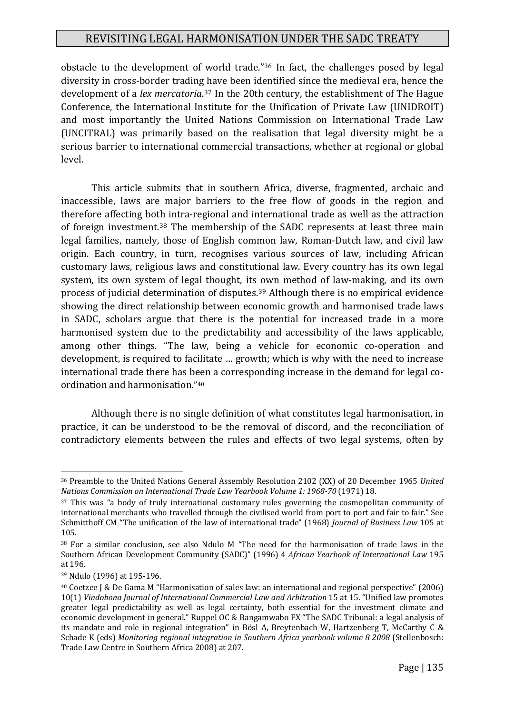obstacle to the development of world trade."[36](#page-8-0) In fact, the challenges posed by legal diversity in cross-border trading [h](#page-8-1)ave been identified since the medieval era, hence the development of a *lex mercatoria*. <sup>37</sup> In the 20th century, the establishment of The Hague Conference, the International Institute for the Unification of Private Law (UNIDROIT) and most importantly the United Nations Commission on International Trade Law (UNCITRAL) was primarily based on the realisation that legal diversity might be a serious barrier to international commercial transactions, whether at regional or global level.

This article submits that in southern Africa, diverse, fragmented, archaic and inaccessible, laws are major barriers to the free flow of goods in the region and therefore affecting both intra-regional and international trade as well as the attraction of foreign investment.[38](#page-8-2) The membership of the SADC represents at least three main legal families, namely, those of English common law, Roman-Dutch law, and civil law origin. Each country, in turn, recognises various sources of law, including African customary laws, religious laws and constitutional law. Every country has its own legal system, its own system of legal thought, its own method of law-making, and its own process of judicial determination of disputes.[39](#page-8-3) Although there is no empirical evidence showing the direct relationship between economic growth and harmonised trade laws in SADC, scholars argue that there is the potential for increased trade in a more harmonised system due to the predictability and accessibility of the laws applicable, among other things. "The law, being a vehicle for economic co-operation and development, is required to facilitate … growth; which is why with the need to increase international trade there has b[ee](#page-8-4)n a corresponding increase in the demand for legal coordination and harmonisation."40

Although there is no single definition of what constitutes legal harmonisation, in practice, it can be understood to be the removal of discord, and the reconciliation of contradictory elements between the rules and effects of two legal systems, often by

<span id="page-8-0"></span><sup>36</sup> Preamble to the United Nations General Assembly Resolution 2102 (XX) of 20 December 1965 *United Nations Commission on International Trade Law Yearbook Volume 1: 1968-70* (1971) 18. <u>.</u>

<span id="page-8-1"></span><sup>&</sup>lt;sup>37</sup> This was "a body of truly international customary rules governing the cosmopolitan community of international merchants who travelled through the civilised world from port to port and fair to fair." See Schmitthoff CM "The unification of the law of international trade" (1968) *Journal of Business Law* 105 at 105.

<span id="page-8-2"></span><sup>38</sup> For a similar conclusion, see also Ndulo M "The need for the harmonisation of trade laws in the Southern African Development Community (SADC)" (1996) 4 *African Yearbook of International Law* 195 at 196.

<span id="page-8-3"></span><sup>39</sup> Ndulo (1996) at 195-196.

<span id="page-8-4"></span><sup>40</sup> Coetzee J & De Gama M "Harmonisation of sales law: an international and regional perspective" (2006) 10(1) *Vindobona Journal of International Commercial Law and Arbitration* 15 at 15. "Unified law promotes greater legal predictability as well as legal certainty, both essential for the investment climate and economic development in general." Ruppel OC & Bangamwabo FX "The SADC Tribunal: a legal analysis of its mandate and role in regional integration" in Bösl A, Breytenbach W, Hartzenberg T, McCarthy C & Schade K (eds) *Monitoring regional integration in Southern Africa yearbook volume 8 2008* (Stellenbosch: Trade Law Centre in Southern Africa 2008) at 207.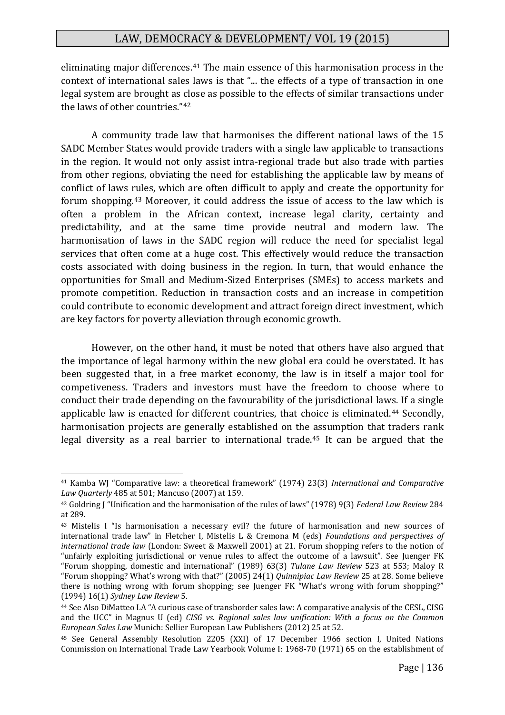eliminating major differences.<sup>41</sup> The main essence of this harmonisation process in the context of international sales laws is that "... the effects of a type of transaction in one legal system are brought as close as possible to the effects of similar transactions under the laws of other countries."[42](#page-9-1)

A community trade law that harmonises the different national laws of the 15 SADC Member States would provide traders with a single law applicable to transactions in the region. It would not only assist intra-regional trade but also trade with parties from other regions, obviating the need for establishing the applicable law by means of conflict of laws rules, which are often difficult to apply and create the opportunity for forum shopping.[43](#page-9-2) Moreover, it could address the issue of access to the law which is often a problem in the African context, increase legal clarity, certainty and predictability, and at the same time provide neutral and modern law. The harmonisation of laws in the SADC region will reduce the need for specialist legal services that often come at a huge cost. This effectively would reduce the transaction costs associated with doing business in the region. In turn, that would enhance the opportunities for Small and Medium-Sized Enterprises (SMEs) to access markets and promote competition. Reduction in transaction costs and an increase in competition could contribute to economic development and attract foreign direct investment, which are key factors for poverty alleviation through economic growth.

However, on the other hand, it must be noted that others have also argued that the importance of legal harmony within the new global era could be overstated. It has been suggested that, in a free market economy, the law is in itself a major tool for competiveness. Traders and investors must have the freedom to choose where to conduct their trade depending on the favourability of the jurisdictional laws. If a single applicable law is enacted for different countries, that choice is eliminated.[44](#page-9-3) Secondly, harmonisation projects are generally established on the assumption that traders rank legal diversity as a real barrier to international trade.[45](#page-9-4) It can be argued that the

<span id="page-9-0"></span><sup>41</sup> Kamba WJ "Comparative law: a theoretical framework" (1974) 23(3) *International and Comparative Law Quarterly* 485 at 501; Mancuso (2007) at 159. -

<span id="page-9-1"></span><sup>42</sup> Goldring J "Unification and the harmonisation of the rules of laws" (1978) 9(3) *Federal Law Review* 284 at 289.

<span id="page-9-2"></span><sup>43</sup> Mistelis I "Is harmonisation a necessary evil? the future of harmonisation and new sources of international trade law" in Fletcher I, Mistelis L & Cremona M (eds) *Foundations and perspectives of international trade law* (London: Sweet & Maxwell 2001) at 21. Forum shopping refers to the notion of "unfairly exploiting jurisdictional or venue rules to affect the outcome of a lawsuit". See Juenger FK "Forum shopping, domestic and international" (1989) 63(3) *Tulane Law Review* 523 at 553; Maloy R "Forum shopping? What's wrong with that?" (2005) 24(1) *Quinnipiac Law Review* 25 at 28. Some believe there is nothing wrong with forum shopping; see Juenger FK "What's wrong with forum shopping?" (1994) 16(1) *Sydney Law Review* 5.

<span id="page-9-3"></span><sup>44</sup> See Also DiMatteo LA "A curious case of transborder sales law: A comparative analysis of the CESL, CISG and the UCC" in Magnus U (ed) *CISG vs. Regional sales law unification: With a focus on the Common European Sales Law* Munich: Sellier European Law Publishers (2012) 25 at 52.

<span id="page-9-4"></span><sup>45</sup> See General Assembly Resolution 2205 (XXI) of 17 December 1966 section I, United Nations Commission on International Trade Law Yearbook Volume I: 1968-70 (1971) 65 on the establishment of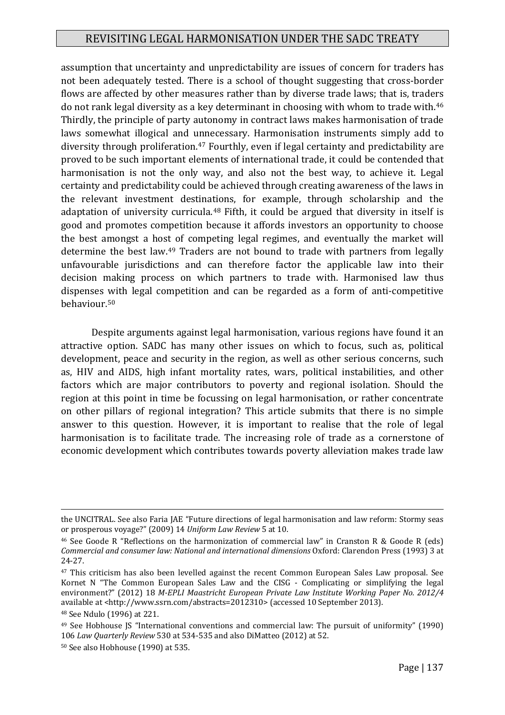assumption that uncertainty and unpredictability are issues of concern for traders has not been adequately tested. There is a school of thought suggesting that cross-border flows are affected by other measures rather than by diverse trade laws; that is, traders do not rank legal diversity as a key determinant in choosing with whom to trade with.[46](#page-10-0) Thirdly, the principle of party autonomy in contract laws makes harmonisation of trade laws somewhat illogical and unnecessary. Harmonisation instruments simply add to diversity through proliferation.[47](#page-10-1) Fourthly, even if legal certainty and predictability are proved to be such important elements of international trade, it could be contended that harmonisation is not the only way, and also not the best way, to achieve it. Legal certainty and predictability could be achieved through creating awareness of the laws in the relevant investment destinations, for example, through scholarship and the adaptation of university curricula.<sup>[48](#page-10-2)</sup> Fifth, it could be argued that diversity in itself is good and promotes competition because it affords investors an opportunity to choose the best amongst a host of competing legal regimes, and eventually the market will determine the best law.[49](#page-10-3) Traders are not bound to trade with partners from legally unfavourable jurisdictions and can therefore factor the applicable law into their decision making process on which partners to trade with. Harmonised law thus dispenses with legal competition and can be regarded as a form of anti-competitive behaviour.[50](#page-10-4)

Despite arguments against legal harmonisation, various regions have found it an attractive option. SADC has many other issues on which to focus, such as, political development, peace and security in the region, as well as other serious concerns, such as, HIV and AIDS, high infant mortality rates, wars, political instabilities, and other factors which are major contributors to poverty and regional isolation. Should the region at this point in time be focussing on legal harmonisation, or rather concentrate on other pillars of regional integration? This article submits that there is no simple answer to this question. However, it is important to realise that the role of legal harmonisation is to facilitate trade. The increasing role of trade as a cornerstone of economic development which contributes towards poverty alleviation makes trade law

the UNCITRAL. See also Faria JAE "Future directions of legal harmonisation and law reform: Stormy seas or prosperous voyage?" (2009) 14 *Uniform Law Review* 5 at 10.

<span id="page-10-0"></span><sup>46</sup> See Goode R "Reflections on the harmonization of commercial law" in Cranston R & Goode R (eds) *Commercial and consumer law: National and international dimensions* Oxford: Clarendon Press (1993) 3 at 24-27.

<span id="page-10-1"></span><sup>47</sup> This criticism has also been levelled against the recent Common European Sales Law proposal. See Kornet N "The Common European Sales Law and the CISG - Complicating or simplifying the legal environment?" (2012) 18 *M-EPLI Maastricht European Private Law Institute Working Paper No. 2012/4* available at <http://www.ssrn.com/abstracts=2012310> (accessed 10 September 2013).

<span id="page-10-2"></span><sup>48</sup> See Ndulo (1996) at 221.

<span id="page-10-3"></span><sup>49</sup> See Hobhouse JS "International conventions and commercial law: The pursuit of uniformity" (1990) 106 *Law Quarterly Review* 530 at 534-535 and also DiMatteo (2012) at 52.

<span id="page-10-4"></span><sup>50</sup> See also Hobhouse (1990) at 535.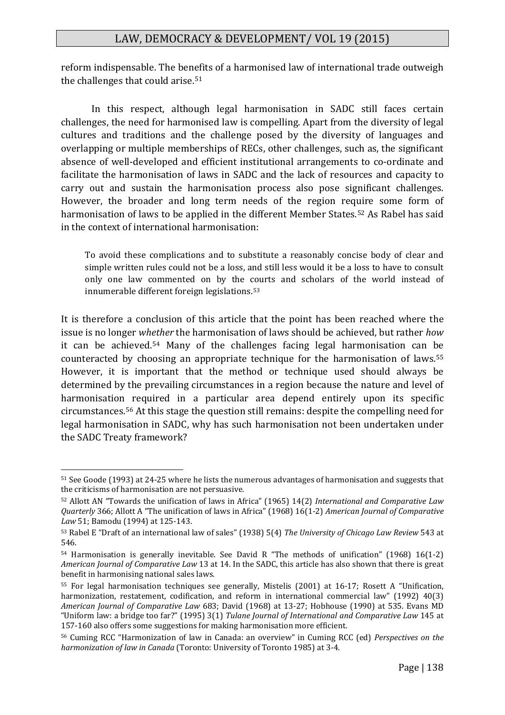reform indispensable. The benefits of a harmonised law of international trade outweigh the challenges that could arise.<sup>[51](#page-11-0)</sup>

In this respect, although legal harmonisation in SADC still faces certain challenges, the need for harmonised law is compelling. Apart from the diversity of legal cultures and traditions and the challenge posed by the diversity of languages and overlapping or multiple memberships of RECs, other challenges, such as, the significant absence of well-developed and efficient institutional arrangements to co-ordinate and facilitate the harmonisation of laws in SADC and the lack of resources and capacity to carry out and sustain the harmonisation process also pose significant challenges. However, the broader and long term needs of the region require some form of harmonisation of laws to be applied in the different Member States.<sup>[52](#page-11-1)</sup> As Rabel has said in the context of international harmonisation:

To avoid these complications and to substitute a reasonably concise body of clear and simple written rules could not be a loss, and still less would it be a loss to have to consult only one law commented on by the [cou](#page-11-2)rts and scholars of the world instead of innumerable different foreign legislations.53

It is therefore a conclusion of this article that the point has been reached where the issue is no longer *whether* the harmonisation of laws should be achieved, but rather *how* it can be achieved.[54](#page-11-3) Many of the challenges facing legal harmonisation can be counteracted by choosing an appropriate technique for the harmonisation of laws.[55](#page-11-4) However, it is important that the method or technique used should always be determined by the prevailing circumstances in a region because the nature and level of harmonisation required in a particular area depend entirely upon its specific circumstances[.56](#page-11-5) At this stage the question still remains: despite the compelling need for legal harmonisation in SADC, why has such harmonisation not been undertaken under the SADC Treaty framework?

<span id="page-11-0"></span><sup>51</sup> See Goode (1993) at 24-25 where he lists the numerous advantages of harmonisation and suggests that the criticisms of harmonisation are not persuasive.

<span id="page-11-1"></span><sup>52</sup> Allott AN "Towards the unification of laws in Africa" (1965) 14(2) *International and Comparative Law Quarterly* 366; Allott A "The unification of laws in Africa" (1968) 16(1-2) *American Journal of Comparative Law* 51; Bamodu (1994) at 125-143.

<span id="page-11-2"></span><sup>53</sup> Rabel E "Draft of an international law of sales" (1938) 5(4) *The University of Chicago Law Review* 543 at 546.

<span id="page-11-3"></span><sup>54</sup> Harmonisation is generally inevitable. See David R "The methods of unification" (1968) 16(1-2) *American Journal of Comparative Law* 13 at 14. In the SADC, this article has also shown that there is great benefit in harmonising national sales laws.

<span id="page-11-4"></span><sup>55</sup> For legal harmonisation techniques see generally, Mistelis (2001) at 16-17; Rosett A "Unification, harmonization, restatement, codification, and reform in international commercial law" (1992) 40(3) *American Journal of Comparative Law* 683; David (1968) at 13-27; Hobhouse (1990) at 535. Evans MD "Uniform law: a bridge too far?" (1995) 3(1) *Tulane Journal of International and Comparative Law* 145 at 157-160 also offers some suggestions for making harmonisation more efficient.

<span id="page-11-5"></span><sup>56</sup> Cuming RCC "Harmonization of law in Canada: an overview" in Cuming RCC (ed) *Perspectives on the harmonization of law in Canada* (Toronto: University of Toronto 1985) at 3-4.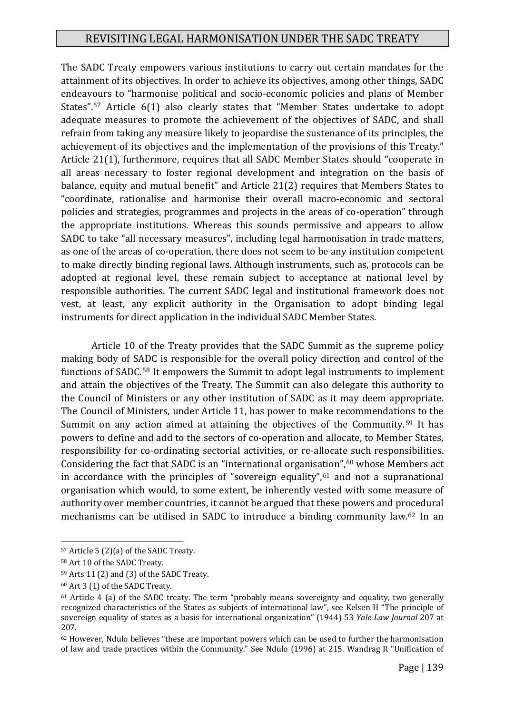The SADC Treaty empowers various institutions to carry out certain mandates for the attainment of its objectives. In order to achieve its objectives, among other things, SADC endeavours to "harmonise political and socio-economic policies and plans of Member States".[57](#page-12-0) Article 6(1) also clearly states that "Member States undertake to adopt adequate measures to promote the achievement of the objectives of SADC, and shall refrain from taking any measure likely to jeopardise the sustenance of its principles, the achievement of its objectives and the implementation of the provisions of this Treaty." Article 21(1), furthermore, requires that all SADC Member States should "cooperate in all areas necessary to foster regional development and integration on the basis of balance, equity and mutual benefit" and Article 21(2) requires that Members States to "coordinate, rationalise and harmonise their overall macro-economic and sectoral policies and strategies, programmes and projects in the areas of co-operation" through the appropriate institutions. Whereas this sounds permissive and appears to allow SADC to take "all necessary measures", including legal harmonisation in trade matters, as one of the areas of co-operation, there does not seem to be any institution competent to make directly binding regional laws. Although instruments, such as, protocols can be adopted at regional level, these remain subject to acceptance at national level by responsible authorities. The current SADC legal and institutional framework does not vest, at least, any explicit authority in the Organisation to adopt binding legal instruments for direct application in the individual SADC Member States.

Article 10 of the Treaty provides that the SADC Summit as the supreme policy making body of SADC is responsible for the overall policy direction and control of the functions of SADC.[58](#page-12-1) It empowers the Summit to adopt legal instruments to implement and attain the objectives of the Treaty. The Summit can also delegate this authority to the Council of Ministers or any other institution of SADC as it may deem appropriate. The Council of Ministers, under Article 11, has power to make recommendations to the Summit on any action aimed at attaining the objectives of the Community.[59](#page-12-2) It has powers to define and add to the sectors of co-operation and allocate, to Member States, responsibility for co-ordinating sectorial activities, or re-allocate such responsibilities. Considering the fact that SADC is an "international organisation",<sup>[60](#page-12-3)</sup> whose Members act in accordance with the principles of "sovereign equality", $61$  and not a supranational organisation which would, to some extent, be inherently vested with some measure of authority over member countries, it cannot be argued that these powers and procedural mechanisms can be utilised in SADC to introduce a binding community law.[62](#page-12-5) In an

<span id="page-12-0"></span><sup>57</sup> Article 5 (2)(a) of the SADC Treaty. <u>.</u>

<span id="page-12-1"></span><sup>58</sup> Art 10 of the SADC Treaty.

<span id="page-12-2"></span><sup>59</sup> Arts 11 (2) and (3) of the SADC Treaty.

<span id="page-12-3"></span><sup>60</sup> Art 3 (1) of the SADC Treaty.

<span id="page-12-4"></span><sup>61</sup> Article 4 (a) of the SADC treaty. The term "probably means sovereignty and equality, two generally recognized characteristics of the States as subjects of international law", see Kelsen H "The principle of sovereign equality of states as a basis for international organization" (1944) 53 *Yale Law Journal* 207 at 207.

<span id="page-12-5"></span> $62$  However, Ndulo believes "these are important powers which can be used to further the harmonisation of law and trade practices within the Community." See Ndulo (1996) at 215. Wandrag R "Unification of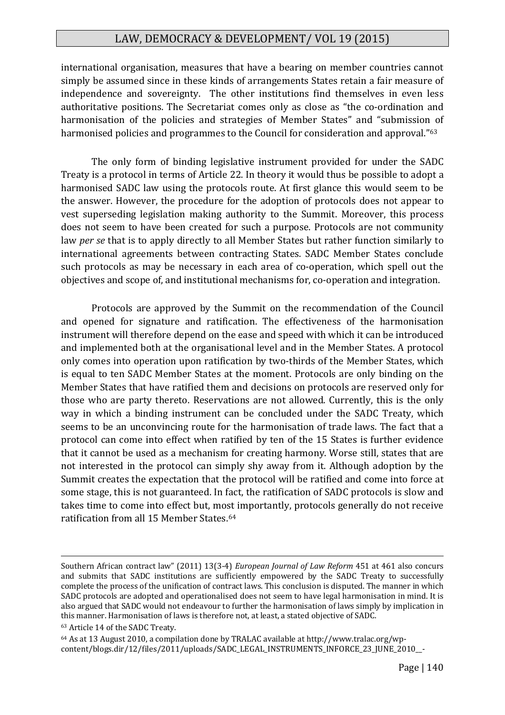international organisation, measures that have a bearing on member countries cannot simply be assumed since in these kinds of arrangements States retain a fair measure of independence and sovereignty. The other institutions find themselves in even less authoritative positions. The Secretariat comes only as close as "the co-ordination and harmonisation of the policies and strategies of Member States" and "submission of harmonised policies and programmes to the Council for consideration and approval."<sup>[63](#page-13-0)</sup>

The only form of binding legislative instrument provided for under the SADC Treaty is a protocol in terms of Article 22. In theory it would thus be possible to adopt a harmonised SADC law using the protocols route. At first glance this would seem to be the answer. However, the procedure for the adoption of protocols does not appear to vest superseding legislation making authority to the Summit. Moreover, this process does not seem to have been created for such a purpose. Protocols are not community law *per se* that is to apply directly to all Member States but rather function similarly to international agreements between contracting States. SADC Member States conclude such protocols as may be necessary in each area of co-operation, which spell out the objectives and scope of, and institutional mechanisms for, co-operation and integration.

Protocols are approved by the Summit on the recommendation of the Council and opened for signature and ratification. The effectiveness of the harmonisation instrument will therefore depend on the ease and speed with which it can be introduced and implemented both at the organisational level and in the Member States. A protocol only comes into operation upon ratification by two-thirds of the Member States, which is equal to ten SADC Member States at the moment. Protocols are only binding on the Member States that have ratified them and decisions on protocols are reserved only for those who are party thereto. Reservations are not allowed. Currently, this is the only way in which a binding instrument can be concluded under the SADC Treaty, which seems to be an unconvincing route for the harmonisation of trade laws. The fact that a protocol can come into effect when ratified by ten of the 15 States is further evidence that it cannot be used as a mechanism for creating harmony. Worse still, states that are not interested in the protocol can simply shy away from it. Although adoption by the Summit creates the expectation that the protocol will be ratified and come into force at some stage, this is not guaranteed. In fact, the ratification of SADC protocols is slow and takes time to come into effect but, most importantly, protocols generally do not receive ratification from all 15 Member States.[64](#page-13-1)

<span id="page-13-0"></span>

<u>.</u>

<span id="page-13-1"></span><sup>64</sup> As at 13 August 2010, a compilation done by TRALAC available at http://www.tralac.org/wpcontent/blogs.dir/12/files/2011/uploads/SADC\_LEGAL\_INSTRUMENTS\_INFORCE\_23\_JUNE\_2010\_\_-

Southern African contract law" (2011) 13(3-4) *European Journal of Law Reform* 451 at 461 also concurs and submits that SADC institutions are sufficiently empowered by the SADC Treaty to successfully complete the process of the unification of contract laws. This conclusion is disputed. The manner in which SADC protocols are adopted and operationalised does not seem to have legal harmonisation in mind. It is also argued that SADC would not endeavour to further the harmonisation of laws simply by implication in this manner. Harmonisation of laws is therefore not, at least, a stated objective of SADC. <sup>63</sup> Article 14 of the SADC Treaty.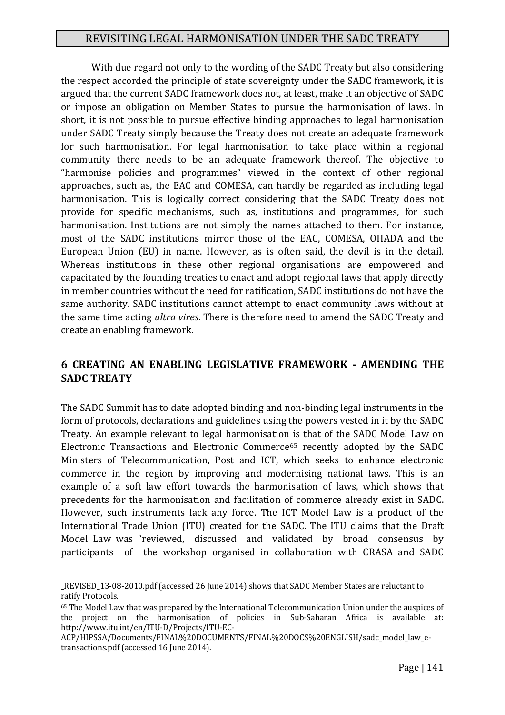With due regard not only to the wording of the SADC Treaty but also considering the respect accorded the principle of state sovereignty under the SADC framework, it is argued that the current SADC framework does not, at least, make it an objective of SADC or impose an obligation on Member States to pursue the harmonisation of laws. In short, it is not possible to pursue effective binding approaches to legal harmonisation under SADC Treaty simply because the Treaty does not create an adequate framework for such harmonisation. For legal harmonisation to take place within a regional community there needs to be an adequate framework thereof. The objective to "harmonise policies and programmes" viewed in the context of other regional approaches, such as, the EAC and COMESA, can hardly be regarded as including legal harmonisation. This is logically correct considering that the SADC Treaty does not provide for specific mechanisms, such as, institutions and programmes, for such harmonisation. Institutions are not simply the names attached to them. For instance, most of the SADC institutions mirror those of the EAC, COMESA, OHADA and the European Union (EU) in name. However, as is often said, the devil is in the detail. Whereas institutions in these other regional organisations are empowered and capacitated by the founding treaties to enact and adopt regional laws that apply directly in member countries without the need for ratification, SADC institutions do not have the same authority. SADC institutions cannot attempt to enact community laws without at the same time acting *ultra vires*. There is therefore need to amend the SADC Treaty and create an enabling framework.

#### **6 CREATING AN ENABLING LEGISLATIVE FRAMEWORK - AMENDING THE SADC TREATY**

The SADC Summit has to date adopted binding and non-binding legal instruments in the form of protocols, declarations and guidelines using the powers vested in it by the SADC Treaty. An example relevant to legal harmonisation is that of the SADC Model Law on Electronic Transactions and Electronic Commerce<sup>[65](#page-14-0)</sup> recently adopted by the SADC Ministers of Telecommunication, Post and ICT, which seeks to enhance electronic commerce in the region by improving and modernising national laws. This is an example of a soft law effort towards the harmonisation of laws, which shows that precedents for the harmonisation and facilitation of commerce already exist in SADC. However, such instruments lack any force. The ICT Model Law is a product of the International Trade Union (ITU) created for the SADC. The ITU claims that the Draft Model Law was "reviewed, discussed and validated by broad consensus by participants of the workshop organised in collaboration with CRASA and SADC

\_REVISED\_13-08-2010.pdf (accessed 26 June 2014) shows that SADC Member States are reluctant to ratify Protocols.

<span id="page-14-0"></span><sup>65</sup> The Model Law that was prepared by the International Telecommunication Union under the auspices of the project on the harmonisation of policies in Sub-Saharan Africa is available http://www.itu.int/en/ITU-D/Projects/ITU-EC-

ACP/HIPSSA/Documents/FINAL%20DOCUMENTS/FINAL%20DOCS%20ENGLISH/sadc\_model\_law\_etransactions.pdf (accessed 16 June 2014).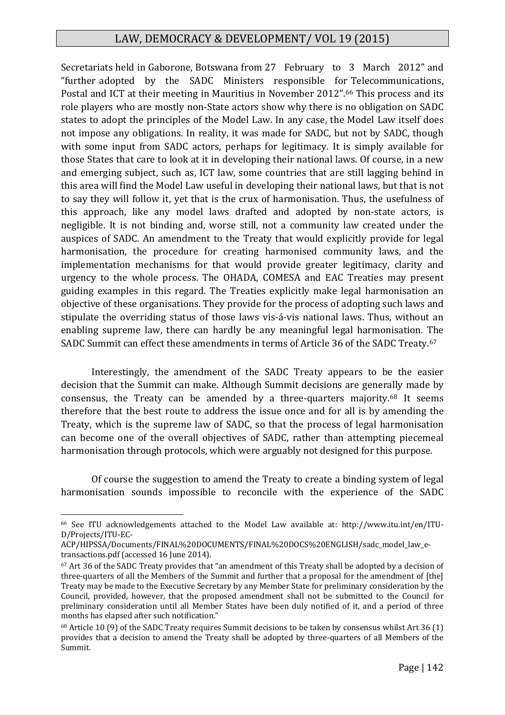Secretariats held in Gaborone, Botswana from 27 February to 3 March 2012" and "further adopted by the SADC Ministers responsible for Telecommunications, Postal and ICT at their meeting in Mauritius in November 2012".<sup>[66](#page-15-0)</sup> This process and its role players who are mostly non-State actors show why there is no obligation on SADC states to adopt the principles of the Model Law. In any case, the Model Law itself does not impose any obligations. In reality, it was made for SADC, but not by SADC, though with some input from SADC actors, perhaps for legitimacy. It is simply available for those States that care to look at it in developing their national laws. Of course, in a new and emerging subject, such as, ICT law, some countries that are still lagging behind in this area will find the Model Law useful in developing their national laws, but that is not to say they will follow it, yet that is the crux of harmonisation. Thus, the usefulness of this approach, like any model laws drafted and adopted by non-state actors, is negligible. It is not binding and, worse still, not a community law created under the auspices of SADC. An amendment to the Treaty that would explicitly provide for legal harmonisation, the procedure for creating harmonised community laws, and the implementation mechanisms for that would provide greater legitimacy, clarity and urgency to the whole process. The OHADA, COMESA and EAC Treaties may present guiding examples in this regard. The Treaties explicitly make legal harmonisation an objective of these organisations. They provide for the process of adopting such laws and stipulate the overriding status of those laws vis-á-vis national laws. Thus, without an enabling supreme law, there can hardly be any meaningful legal harmonisation. The SADC Summit can effect these amendments in terms of Article 36 of the SADC Treaty.[67](#page-15-1)

Interestingly, the amendment of the SADC Treaty appears to be the easier decision that the Summit can make. Although Summit decisions are generally made by consensus, the Treaty can be amended by a three-quarters majority.[68](#page-15-2) It seems therefore that the best route to address the issue once and for all is by amending the Treaty, which is the supreme law of SADC, so that the process of legal harmonisation can become one of the overall objectives of SADC, rather than attempting piecemeal harmonisation through protocols, which were arguably not designed for this purpose.

Of course the suggestion to amend the Treaty to create a binding system of legal harmonisation sounds impossible to reconcile with the experience of the SADC

<span id="page-15-0"></span><sup>66</sup> See ITU acknowledgements attached to the Model Law available at: http://www.itu.int/en/ITU-D/Projects/ITU-EC-

ACP/HIPSSA/Documents/FINAL%20DOCUMENTS/FINAL%20DOCS%20ENGLISH/sadc\_model\_law\_etransactions.pdf (accessed 16 June 2014).

<span id="page-15-1"></span><sup>67</sup> Art 36 of the SADC Treaty provides that "an amendment of this Treaty shall be adopted by a decision of three-quarters of all the Members of the Summit and further that a proposal for the amendment of [the] Treaty may be made to the Executive Secretary by any Member State for preliminary consideration by the Council, provided, however, that the proposed amendment shall not be submitted to the Council for preliminary consideration until all Member States have been duly notified of it, and a period of three months has elapsed after such notification."

<span id="page-15-2"></span><sup>68</sup> Article 10 (9) of the SADC Treaty requires Summit decisions to be taken by consensus whilst Art 36 (1) provides that a decision to amend the Treaty shall be adopted by three-quarters of all Members of the Summit.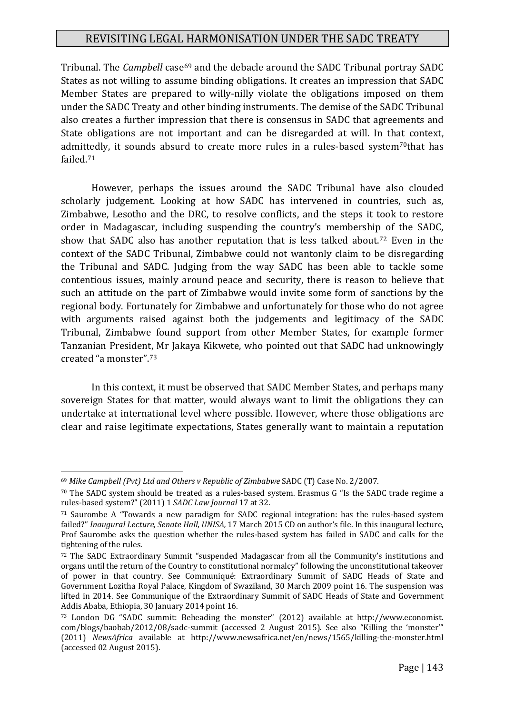Tribunal. The *Campbell* case<sup>[69](#page-16-0)</sup> and the debacle around the SADC Tribunal portray SADC States as not willing to assume binding obligations. It creates an impression that SADC Member States are prepared to willy-nilly violate the obligations imposed on them under the SADC Treaty and other binding instruments. The demise of the SADC Tribunal also creates a further impression that there is consensus in SADC that agreements and State obligations are not important and can be disregarded at will. In that context, admittedly, it sounds absurd to create more rules in a rules-based system<sup>[70](#page-16-1)</sup>that has failed.[71](#page-16-2)

However, perhaps the issues around the SADC Tribunal have also clouded scholarly judgement. Looking at how SADC has intervened in countries, such as, Zimbabwe, Lesotho and the DRC, to resolve conflicts, and the steps it took to restore order in Madagascar, including suspending the country's membership of the SADC, show that SADC also has another reputation that is less talked about.[72](#page-16-3) Even in the context of the SADC Tribunal, Zimbabwe could not wantonly claim to be disregarding the Tribunal and SADC. Judging from the way SADC has been able to tackle some contentious issues, mainly around peace and security, there is reason to believe that such an attitude on the part of Zimbabwe would invite some form of sanctions by the regional body. Fortunately for Zimbabwe and unfortunately for those who do not agree with arguments raised against both the judgements and legitimacy of the SADC Tribunal, Zimbabwe found support from other Member States, for example former Tanzanian President, Mr Jakaya Kikwete, who pointed out that SADC had unknowingly created "a monster".[73](#page-16-4)

In this context, it must be observed that SADC Member States, and perhaps many sovereign States for that matter, would always want to limit the obligations they can undertake at international level where possible. However, where those obligations are clear and raise legitimate expectations, States generally want to maintain a reputation

<u>.</u>

<span id="page-16-0"></span><sup>69</sup> *Mike Campbell (Pvt) Ltd and Others v Republic of Zimbabwe* SADC (T) Case No. 2/2007.

<span id="page-16-1"></span><sup>70</sup> The SADC system should be treated as a rules-based system. Erasmus G "Is the SADC trade regime a rules-based system?" (2011) 1 *SADC Law Journal* 17 at 32.

<span id="page-16-2"></span><sup>71</sup> Saurombe A "Towards a new paradigm for SADC regional integration: has the rules-based system failed?" *Inaugural Lecture, Senate Hall, UNISA,* 17 March 2015 CD on author's file. In this inaugural lecture, Prof Saurombe asks the question whether the rules-based system has failed in SADC and calls for the tightening of the rules.

<span id="page-16-3"></span><sup>72</sup> The SADC Extraordinary Summit "suspended Madagascar from all the Community's institutions and organs until the return of the Country to constitutional normalcy" following the unconstitutional takeover of power in that country. See Communiqué: Extraordinary Summit of SADC Heads of State and Government Lozitha Royal Palace, Kingdom of Swaziland, 30 March 2009 point 16. The suspension was lifted in 2014. See Communique of the Extraordinary Summit of SADC Heads of State and Government Addis Ababa, Ethiopia, 30 January 2014 point 16.

<span id="page-16-4"></span><sup>73</sup> London DG "SADC summit: Beheading the monster" (2012) available at http://www.economist. com/blogs/baobab/2012/08/sadc-summit (accessed 2 August 2015). See also "Killing the 'monster'" (2011) *NewsAfrica* available at http://www.newsafrica.net/en/news/1565/killing-the-monster.html (accessed 02 August 2015).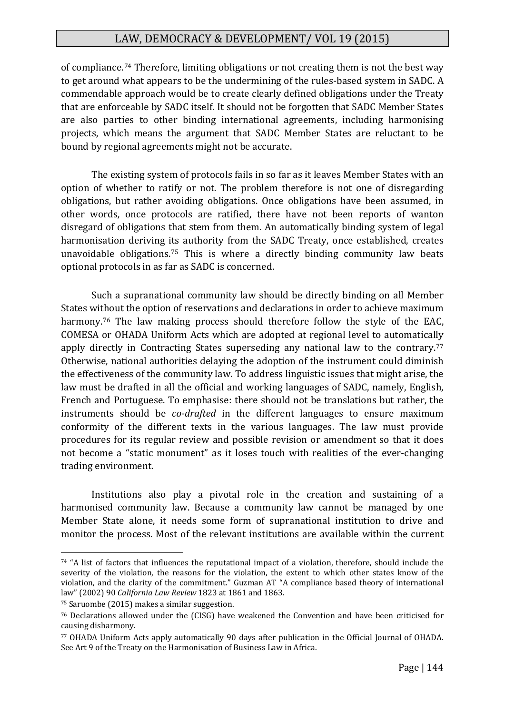of compliance.[74](#page-17-0) Therefore, limiting obligations or not creating them is not the best way to get around what appears to be the undermining of the rules-based system in SADC. A commendable approach would be to create clearly defined obligations under the Treaty that are enforceable by SADC itself. It should not be forgotten that SADC Member States are also parties to other binding international agreements, including harmonising projects, which means the argument that SADC Member States are reluctant to be bound by regional agreements might not be accurate.

The existing system of protocols fails in so far as it leaves Member States with an option of whether to ratify or not. The problem therefore is not one of disregarding obligations, but rather avoiding obligations. Once obligations have been assumed, in other words, once protocols are ratified, there have not been reports of wanton disregard of obligations that stem from them. An automatically binding system of legal harmonisation deriving its authority from the SADC Treaty, once established, creates unavoidable obligations.[75](#page-17-1) This is where a directly binding community law beats optional protocols in as far as SADC is concerned.

Such a supranational community law should be directly binding on all Member States without the option of reservations and declarations in order to achieve maximum harmony.<sup>[76](#page-17-2)</sup> The law making process should therefore follow the style of the EAC, COMESA or OHADA Uniform Acts which are adopted at regional level to automatically apply directly in Contracting States superseding any national law to the contrary.<sup>77</sup> Otherwise, national authorities delaying the adoption of the instrument could diminish the effectiveness of the community law. To address linguistic issues that might arise, the law must be drafted in all the official and working languages of SADC, namely, English, French and Portuguese. To emphasise: there should not be translations but rather, the instruments should be *co-drafted* in the different languages to ensure maximum conformity of the different texts in the various languages. The law must provide procedures for its regular review and possible revision or amendment so that it does not become a "static monument" as it loses touch with realities of the ever-changing trading environment.

Institutions also play a pivotal role in the creation and sustaining of a harmonised community law. Because a community law cannot be managed by one Member State alone, it needs some form of supranational institution to drive and monitor the process. Most of the relevant institutions are available within the current

<span id="page-17-0"></span><sup>74</sup> "A list of factors that influences the reputational impact of a violation, therefore, should include the severity of the violation, the reasons for the violation, the extent to which other states know of the violation, and the clarity of the commitment." Guzman AT "A compliance based theory of international law" (2002) 90 *California Law Review* 1823 at 1861 and 1863.

<span id="page-17-1"></span><sup>75</sup> Saruombe (2015) makes a similar suggestion.

<span id="page-17-2"></span><sup>76</sup> Declarations allowed under the (CISG) have weakened the Convention and have been criticised for causing disharmony.

<span id="page-17-3"></span><sup>77</sup> OHADA Uniform Acts apply automatically 90 days after publication in the Official Journal of OHADA. See Art 9 of the Treaty on the Harmonisation of Business Law in Africa.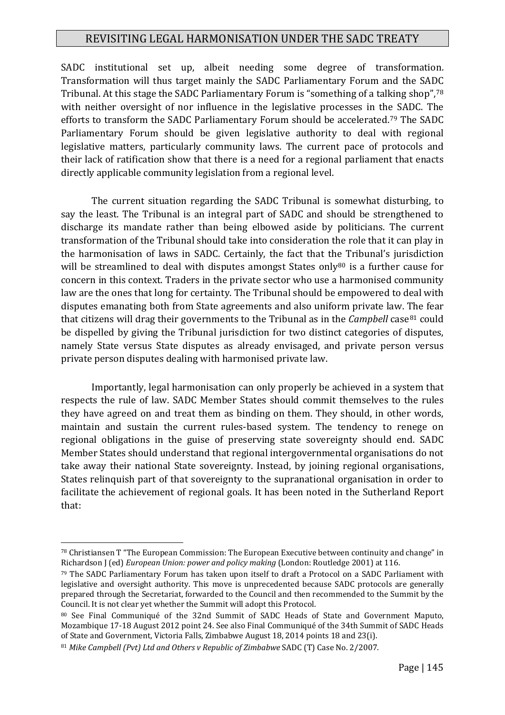SADC institutional set up, albeit needing some degree of transformation. Transformation will thus target mainly the SADC Parliamentary Forum and the SADC Tribunal. At this stage the SADC Parliamentary Forum is "something of a talking shop",[78](#page-18-0) with neither oversight of nor influence in the legislative processes in the SADC. The efforts to transform the SADC Parliamentary Forum should be accelerated.[79](#page-18-1) The SADC Parliamentary Forum should be given legislative authority to deal with regional legislative matters, particularly community laws. The current pace of protocols and their lack of ratification show that there is a need for a regional parliament that enacts directly applicable community legislation from a regional level.

The current situation regarding the SADC Tribunal is somewhat disturbing, to say the least. The Tribunal is an integral part of SADC and should be strengthened to discharge its mandate rather than being elbowed aside by politicians. The current transformation of the Tribunal should take into consideration the role that it can play in the harmonisation of laws in SADC. Certainly, the fact that the Tribunal's jurisdiction will be streamlined to deal with disputes amongst States only $80$  is a further cause for concern in this context. Traders in the private sector who use a harmonised community law are the ones that long for certainty. The Tribunal should be empowered to deal with disputes emanating both from State agreements and also uniform private law. The fear that citizens will drag their governments to the Tribunal as in the *Campbell* case<sup>[81](#page-18-3)</sup> could be dispelled by giving the Tribunal jurisdiction for two distinct categories of disputes, namely State versus State disputes as already envisaged, and private person versus private person disputes dealing with harmonised private law.

Importantly, legal harmonisation can only properly be achieved in a system that respects the rule of law. SADC Member States should commit themselves to the rules they have agreed on and treat them as binding on them. They should, in other words, maintain and sustain the current rules-based system. The tendency to renege on regional obligations in the guise of preserving state sovereignty should end. SADC Member States should understand that regional intergovernmental organisations do not take away their national State sovereignty. Instead, by joining regional organisations, States relinquish part of that sovereignty to the supranational organisation in order to facilitate the achievement of regional goals. It has been noted in the Sutherland Report that:

<u>.</u>

<span id="page-18-0"></span><sup>78</sup> Christiansen T "The European Commission: The European Executive between continuity and change" in Richardson J (ed) *European Union: power and policy making* (London: Routledge 2001) at 116.

<span id="page-18-1"></span><sup>79</sup> The SADC Parliamentary Forum has taken upon itself to draft a Protocol on a SADC Parliament with legislative and oversight authority. This move is unprecedented because SADC protocols are generally prepared through the Secretariat, forwarded to the Council and then recommended to the Summit by the Council. It is not clear yet whether the Summit will adopt this Protocol.

<span id="page-18-2"></span><sup>80</sup> See Final Communiqué of the 32nd Summit of SADC Heads of State and Government Maputo, Mozambique 17-18 August 2012 point 24. See also Final Communiqué of the 34th Summit of SADC Heads of State and Government, Victoria Falls, Zimbabwe August 18, 2014 points 18 and 23(i).

<span id="page-18-3"></span><sup>81</sup> *Mike Campbell (Pvt) Ltd and Others v Republic of Zimbabwe* SADC (T) Case No. 2/2007.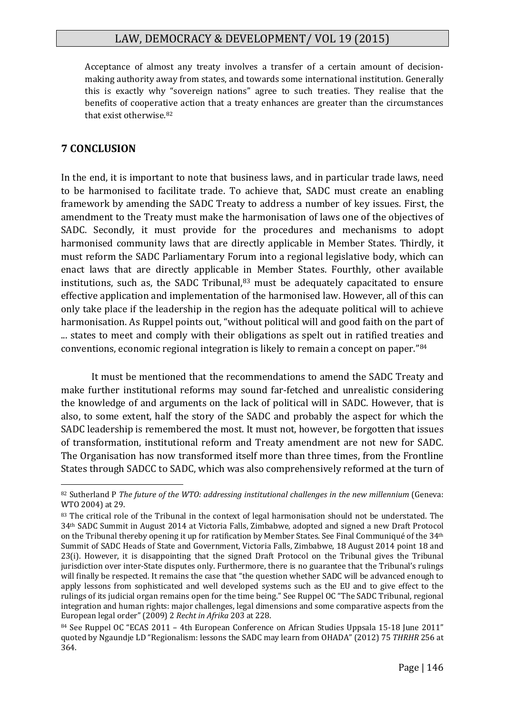Acceptance of almost any treaty involves a transfer of a certain amount of decisionmaking authority away from states, and towards some international institution. Generally this is exactly why "sovereign nations" agree to such treaties. They realise that the benefits of cooperative action that a treaty enhances are greater than the circumstances that exist otherwise.[82](#page-19-0)

#### **7 CONCLUSION**

<u>.</u>

In the end, it is important to note that business laws, and in particular trade laws, need to be harmonised to facilitate trade. To achieve that, SADC must create an enabling framework by amending the SADC Treaty to address a number of key issues. First, the amendment to the Treaty must make the harmonisation of laws one of the objectives of SADC. Secondly, it must provide for the procedures and mechanisms to adopt harmonised community laws that are directly applicable in Member States. Thirdly, it must reform the SADC Parliamentary Forum into a regional legislative body, which can enact laws that are directly applicable in Member States. Fourthly, other available institutions, such as, the SADC Tribunal, $83$  must be adequately capacitated to ensure effective application and implementation of the harmonised law. However, all of this can only take place if the leadership in the region has the adequate political will to achieve harmonisation. As Ruppel points out, "without political will and good faith on the part of ... states to meet and comply with their obligations as spelt out in ratified treaties and conventions, economic regional integration is likely to remain a concept on paper."[84](#page-19-2)

It must be mentioned that the recommendations to amend the SADC Treaty and make further institutional reforms may sound far-fetched and unrealistic considering the knowledge of and arguments on the lack of political will in SADC. However, that is also, to some extent, half the story of the SADC and probably the aspect for which the SADC leadership is remembered the most. It must not, however, be forgotten that issues of transformation, institutional reform and Treaty amendment are not new for SADC. The Organisation has now transformed itself more than three times, from the Frontline States through SADCC to SADC, which was also comprehensively reformed at the turn of

<span id="page-19-0"></span><sup>82</sup> Sutherland P *The future of the WTO: addressing institutional challenges in the new millennium* (Geneva: WTO 2004) at 29.

<span id="page-19-1"></span><sup>&</sup>lt;sup>83</sup> The critical role of the Tribunal in the context of legal harmonisation should not be understated. The 34th SADC Summit in August 2014 at Victoria Falls, Zimbabwe, adopted and signed a new Draft Protocol on the Tribunal thereby opening it up for ratification by Member States. See Final Communiqué of the 34th Summit of SADC Heads of State and Government, Victoria Falls, Zimbabwe, 18 August 2014 point 18 and 23(i). However, it is disappointing that the signed Draft Protocol on the Tribunal gives the Tribunal jurisdiction over inter-State disputes only. Furthermore, there is no guarantee that the Tribunal's rulings will finally be respected. It remains the case that "the question whether SADC will be advanced enough to apply lessons from sophisticated and well developed systems such as the EU and to give effect to the rulings of its judicial organ remains open for the time being." See Ruppel OC "The SADC Tribunal, regional integration and human rights: major challenges, legal dimensions and some comparative aspects from the European legal order" (2009) 2 *Recht in Afrika* 203 at 228.

<span id="page-19-2"></span><sup>84</sup> See Ruppel OC "ECAS 2011 – 4th European Conference on African Studies Uppsala 15-18 June 2011" quoted by Ngaundje LD "Regionalism: lessons the SADC may learn from OHADA" (2012) 75 *THRHR* 256 at 364.